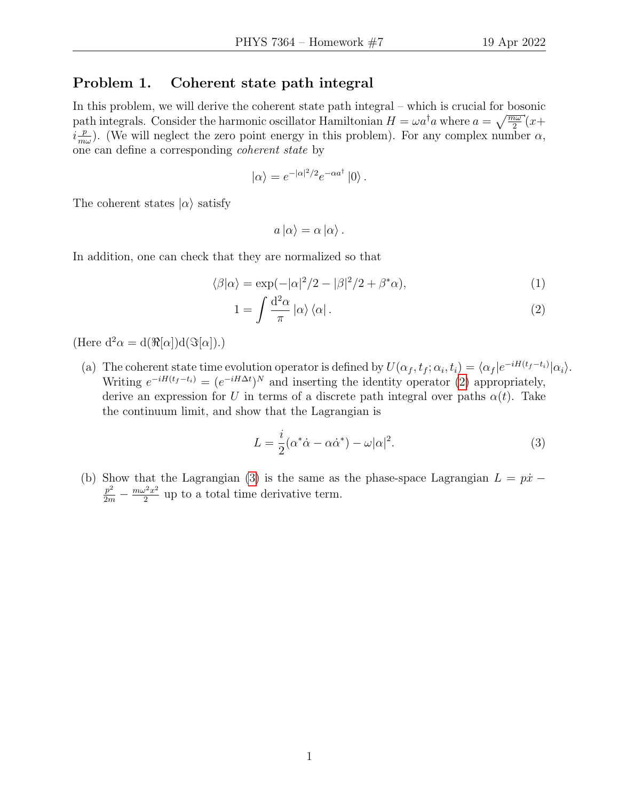## Problem 1. Coherent state path integral

In this problem, we will derive the coherent state path integral – which is crucial for bosonic path integrals. Consider the harmonic oscillator Hamiltonian  $H = \omega a^{\dagger} a$  where  $a = \sqrt{\frac{m\omega}{2}}(x +$  $i\frac{p}{m}$  $\frac{p}{m\omega}$ ). (We will neglect the zero point energy in this problem). For any complex number  $\alpha$ , one can define a corresponding coherent state by

$$
|\alpha\rangle = e^{-|\alpha|^2/2}e^{-\alpha a^{\dagger}}|0\rangle.
$$

The coherent states  $|\alpha\rangle$  satisfy

<span id="page-0-0"></span>
$$
a\left|\alpha\right\rangle = \alpha\left|\alpha\right\rangle.
$$

In addition, one can check that they are normalized so that

$$
\langle \beta | \alpha \rangle = \exp(-|\alpha|^2/2 - |\beta|^2/2 + \beta^* \alpha), \tag{1}
$$

$$
1 = \int \frac{\mathrm{d}^2 \alpha}{\pi} \left| \alpha \right\rangle \left\langle \alpha \right|.
$$
 (2)

(Here  $d^2\alpha = d(\Re[\alpha])d(\Im[\alpha]).)$ 

(a) The coherent state time evolution operator is defined by  $U(\alpha_f, t_f; \alpha_i, t_i) = \langle \alpha_f | e^{-iH(t_f - t_i)} | \alpha_i \rangle$ . Writing  $e^{-iH(t_f-t_i)} = (e^{-iH\Delta t})^N$  and inserting the identity operator [\(2\)](#page-0-0) appropriately, derive an expression for U in terms of a discrete path integral over paths  $\alpha(t)$ . Take the continuum limit, and show that the Lagrangian is

<span id="page-0-1"></span>
$$
L = \frac{i}{2}(\alpha^* \dot{\alpha} - \alpha \dot{\alpha}^*) - \omega |\alpha|^2.
$$
 (3)

(b) Show that the Lagrangian [\(3\)](#page-0-1) is the same as the phase-space Lagrangian  $L = p\dot{x}$  −  $rac{p^2}{2m} - \frac{m\omega^2x^2}{2}$  $\frac{2^{2}x^{2}}{2}$  up to a total time derivative term.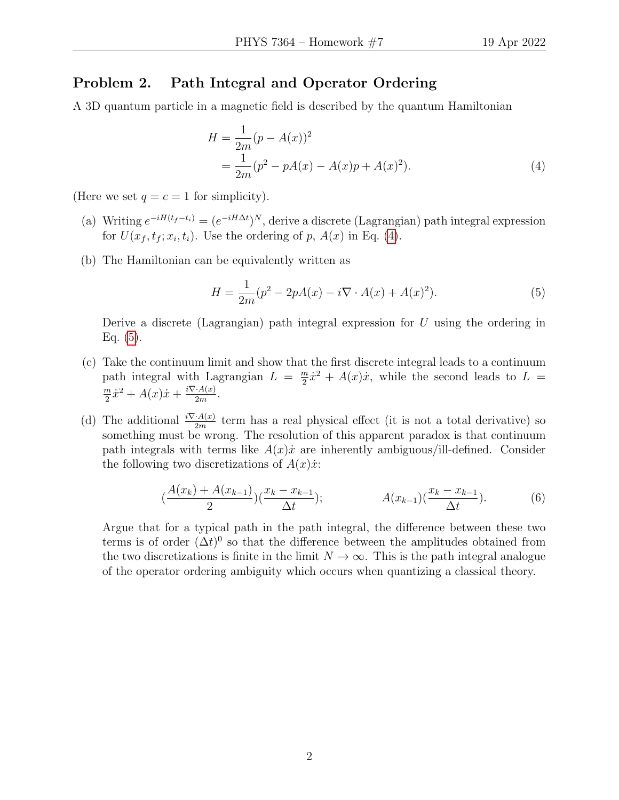## Problem 2. Path Integral and Operator Ordering

A 3D quantum particle in a magnetic field is described by the quantum Hamiltonian

<span id="page-1-0"></span>
$$
H = \frac{1}{2m}(p - A(x))^2
$$
  
= 
$$
\frac{1}{2m}(p^2 - pA(x) - A(x)p + A(x)^2).
$$
 (4)

(Here we set  $q = c = 1$  for simplicity).

- (a) Writing  $e^{-iH(t_f-t_i)} = (e^{-iH\Delta t})^N$ , derive a discrete (Lagrangian) path integral expression for  $U(x_f, t_f; x_i, t_i)$ . Use the ordering of p,  $A(x)$  in Eq. [\(4\)](#page-1-0).
- (b) The Hamiltonian can be equivalently written as

<span id="page-1-1"></span>
$$
H = \frac{1}{2m}(p^2 - 2pA(x) - i\nabla \cdot A(x) + A(x)^2).
$$
 (5)

Derive a discrete (Lagrangian) path integral expression for  $U$  using the ordering in Eq.  $(5)$ .

- (c) Take the continuum limit and show that the first discrete integral leads to a continuum path integral with Lagrangian  $L = \frac{m}{2}$  $\frac{m}{2}\dot{x}^2 + A(x)\dot{x}$ , while the second leads to  $L =$ m  $\frac{m}{2}\dot{x}^2 + A(x)\dot{x} + \frac{i\nabla A(x)}{2m}$  $\frac{A(x)}{2m}$ .
- (d) The additional  $\frac{i\nabla A(x)}{2m}$  term has a real physical effect (it is not a total derivative) so something must be wrong. The resolution of this apparent paradox is that continuum path integrals with terms like  $A(x)\dot{x}$  are inherently ambiguous/ill-defined. Consider the following two discretizations of  $A(x)\dot{x}$ :

$$
\left(\frac{A(x_k) + A(x_{k-1})}{2}\right)\left(\frac{x_k - x_{k-1}}{\Delta t}\right); \qquad A(x_{k-1})\left(\frac{x_k - x_{k-1}}{\Delta t}\right). \tag{6}
$$

Argue that for a typical path in the path integral, the difference between these two terms is of order  $(\Delta t)^0$  so that the difference between the amplitudes obtained from the two discretizations is finite in the limit  $N \to \infty$ . This is the path integral analogue of the operator ordering ambiguity which occurs when quantizing a classical theory.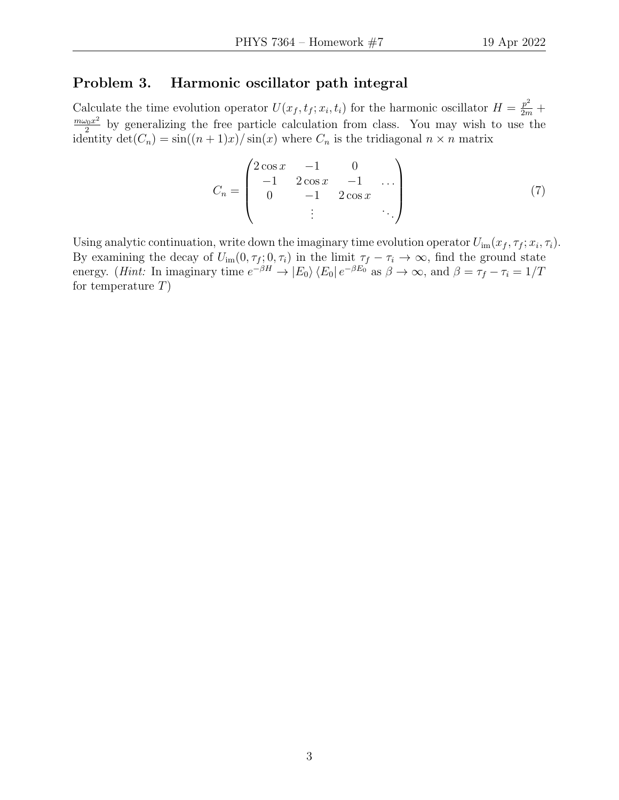## Problem 3. Harmonic oscillator path integral

Calculate the time evolution operator  $U(x_f, t_f; x_i, t_i)$  for the harmonic oscillator  $H = \frac{p^2}{2m} +$  $m\omega_0x^2$  $\frac{\sqrt{20x^2}}{2}$  by generalizing the free particle calculation from class. You may wish to use the identity  $\det(C_n) = \sin((n+1)x)/\sin(x)$  where  $C_n$  is the tridiagonal  $n \times n$  matrix

$$
C_n = \begin{pmatrix} 2\cos x & -1 & 0 \\ -1 & 2\cos x & -1 & \dots \\ 0 & -1 & 2\cos x & \dots \\ \vdots & \vdots & \ddots \end{pmatrix}
$$
 (7)

Using analytic continuation, write down the imaginary time evolution operator  $U_{\text{im}}(x_f, \tau_f; x_i, \tau_i)$ . By examining the decay of  $U_{\text{im}}(0, \tau_f; 0, \tau_i)$  in the limit  $\tau_f - \tau_i \to \infty$ , find the ground state energy. (*Hint*: In imaginary time  $e^{-\beta H} \to |E_0\rangle \langle E_0| e^{-\beta E_0}$  as  $\beta \to \infty$ , and  $\beta = \tau_f - \tau_i = 1/T$ for temperature  $T$ )